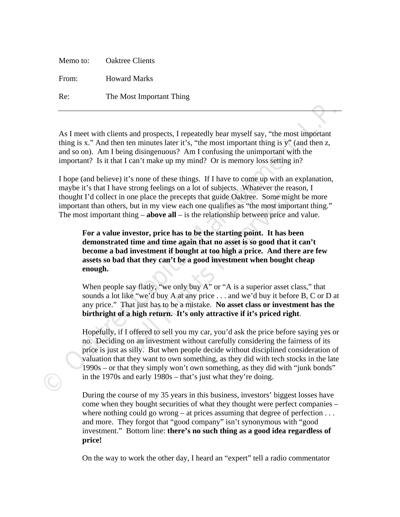|       | Memo to: Oaktree Clients |
|-------|--------------------------|
| From: | <b>Howard Marks</b>      |
| Re:   | The Most Important Thing |

As I meet with clients and prospects, I repeatedly hear myself say, "the most important thing is x." And then ten minutes later it's, "the most important thing is y" (and then z, and so on). Am I being disingenuous? Am I confusing the unimportant with the important? Is it that I can't make up my mind? Or is memory loss setting in?

I hope (and believe) it's none of these things. If I have to come up with an explanation, maybe it's that I have strong feelings on a lot of subjects. Whatever the reason, I thought I'd collect in one place the precepts that guide Oaktree. Some might be more important than others, but in my view each one qualifies as "the most important thing." The most important thing  $-\neq -$ **above all**  $-\neq$  is the relationship between price and value.

**All Rightary** is the precepts that guide Oaktree. Some might in my view each one qualifies as "the most impoint in my view each one qualifies as "the most impoint and the version of  $\mathbf{R}$  and  $\mathbf{R}$  is the relations **For a value investor, price has to be the starting point. It has been demonstrated time and time again that no asset is so good that it can't become a bad investment if bought at too high a price. And there are few assets so bad that they can't be a good investment when bought cheap enough.** 

When people say flatly, "we only buy A" or "A is a superior asset class," that sounds a lot like "we'd buy A at any price . . . and we'd buy it before B, C or D at any price." That just has to be a mistake. **No asset class or investment has the birthright of a high return. It's only attractive if it's priced right**.

As I meet with clients and prospects, I repeatedly hear myself say, "the most important<br>thing is x." And then ten minutes later it's, "the most important thing is y" (and then z,<br>and so on). And I being disingentous? And Hopefully, if I offered to sell you my car, you'd ask the price before saying yes or no. Deciding on an investment without carefully considering the fairness of its price is just as silly. But when people decide without disciplined consideration of valuation that they want to own something, as they did with tech stocks in the late 1990s – or that they simply won't own something, as they did with "junk bonds" in the 1970s and early 1980s – that's just what they're doing.

During the course of my 35 years in this business, investors' biggest losses have come when they bought securities of what they thought were perfect companies – where nothing could go wrong – at prices assuming that degree of perfection  $\dots$ and more. They forgot that "good company" isn't synonymous with "good investment." Bottom line: **there's no such thing as a good idea regardless of price!** 

On the way to work the other day, I heard an "expert" tell a radio commentator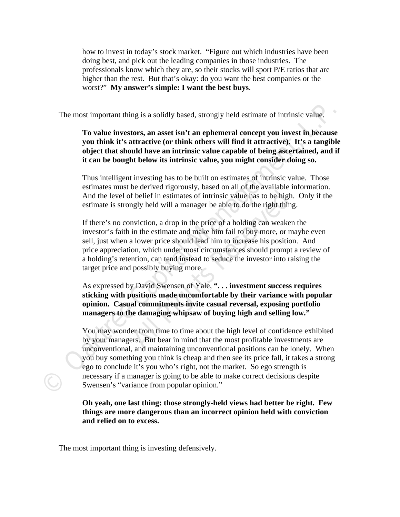how to invest in today's stock market. "Figure out which industries have been doing best, and pick out the leading companies in those industries. The professionals know which they are, so their stocks will sport P/E ratios that are higher than the rest. But that's okay: do you want the best companies or the worst?" **My answer's simple: I want the best buys**.

The most important thing is a solidly based, strongly held estimate of intrinsic value.

## **To value investors, an asset isn't an ephemeral concept you invest in because you think it's attractive (or think others will find it attractive). It's a tangible object that should have an intrinsic value capable of being ascertained, and if it can be bought below its intrinsic value, you might consider doing so.**

Thus intelligent investing has to be built on estimates of intrinsic value. Those estimates must be derived rigorously, based on all of the available information. And the level of belief in estimates of intrinsic value has to be high. Only if the estimate is strongly held will a manager be able to do the right thing.

f belief in estimates of intrinsic value has to be high.<br>Ingly held will a manager be able to do the right thing<br>nviction, a drop in the price of a holding can weaken<br>in the estimate and make him fail to buy more, or ma<br>lo If there's no conviction, a drop in the price of a holding can weaken the investor's faith in the estimate and make him fail to buy more, or maybe even sell, just when a lower price should lead him to increase his position. And price appreciation, which under most circumstances should prompt a review of a holding's retention, can tend instead to seduce the investor into raising the target price and possibly buying more.

As expressed by David Swensen of Yale, **". . . investment success requires sticking with positions made uncomfortable by their variance with popular opinion. Casual commitments invite casual reversal, exposing portfolio managers to the damaging whipsaw of buying high and selling low."** 

The most important thing is a solidly based, strongly held estimate of intrinsic value.<br> **To value investors, an asset isn't an ephemeral concept you invest in because<br>
you think it's attractive (or think others will find** You may wonder from time to time about the high level of confidence exhibited by your managers. But bear in mind that the most profitable investments are unconventional, and maintaining unconventional positions can be lonely. When you buy something you think is cheap and then see its price fall, it takes a strong ego to conclude it's you who's right, not the market. So ego strength is necessary if a manager is going to be able to make correct decisions despite Swensen's "variance from popular opinion."

> **Oh yeah, one last thing: those strongly-held views had better be right. Few things are more dangerous than an incorrect opinion held with conviction and relied on to excess.**

The most important thing is investing defensively.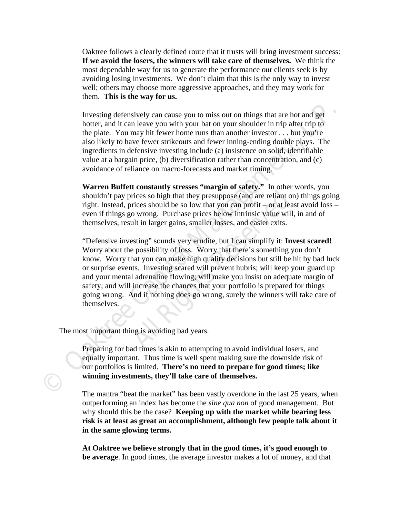Oaktree follows a clearly defined route that it trusts will bring investment success: **If we avoid the losers, the winners will take care of themselves.** We think the most dependable way for us to generate the performance our clients seek is by avoiding losing investments. We don't claim that this is the only way to invest well; others may choose more aggressive approaches, and they may work for them. **This is the way for us.** 

Investing defensively can cause you to miss out on things that are hot and get hotter, and it can leave you with your bat on your shoulder in trip after trip to the plate. You may hit fewer home runs than another investor . . . but you're also likely to have fewer strikeouts and fewer inning-ending double plays. The ingredients in defensive investing include (a) insistence on solid, identifiable value at a bargain price, (b) diversification rather than concentration, and (c) avoidance of reliance on macro-forecasts and market timing.

**Warren Buffett constantly stresses "margin of safety."** In other words, you shouldn't pay prices so high that they presuppose (and are reliant on) things going right. Instead, prices should be so low that you can profit – or at least avoid loss – even if things go wrong. Purchase prices below intrinsic value will, in and of themselves, result in larger gains, smaller losses, and easier exits.

Investing defensively can cause you to miss out on things that are hot and get<br>botter, and it can heave you with your bat on your shoulder in turis differ tips of<br>the plate. You may hit fewer home runs than another investo rices so high that they presuppose (and are reliant or<br>prices should be so low that you can profit – or at leas<br>o wrong. Purchase prices below intrinsic value will,<br>ult in larger gains, smaller losses, and easier exits.<br>es "Defensive investing" sounds very erudite, but I can simplify it: **Invest scared!** Worry about the possibility of loss. Worry that there's something you don't know. Worry that you can make high quality decisions but still be hit by bad luck or surprise events. Investing scared will prevent hubris; will keep your guard up and your mental adrenaline flowing; will make you insist on adequate margin of safety; and will increase the chances that your portfolio is prepared for things going wrong. And if nothing does go wrong, surely the winners will take care of themselves.

The most important thing is avoiding bad years.

Preparing for bad times is akin to attempting to avoid individual losers, and equally important. Thus time is well spent making sure the downside risk of our portfolios is limited. **There's no need to prepare for good times; like winning investments, they'll take care of themselves.** 

The mantra "beat the market" has been vastly overdone in the last 25 years, when outperforming an index has become the *sine qua non* of good management. But why should this be the case? **Keeping up with the market while bearing less risk is at least as great an accomplishment, although few people talk about it in the same glowing terms.** 

**At Oaktree we believe strongly that in the good times, it's good enough to be average**. In good times, the average investor makes a lot of money, and that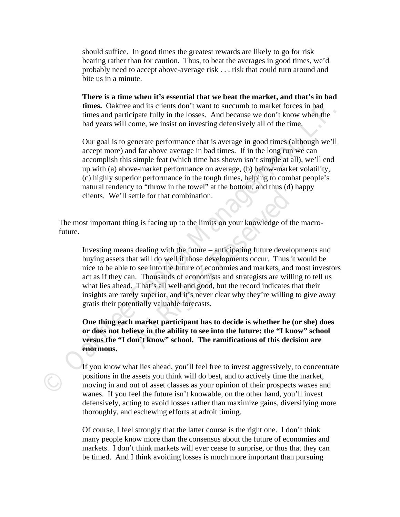should suffice. In good times the greatest rewards are likely to go for risk bearing rather than for caution. Thus, to beat the averages in good times, we'd probably need to accept above-average risk . . . risk that could turn around and bite us in a minute.

**There is a time when it's essential that we beat the market, and that's in bad times.** Oaktree and its clients don't want to succumb to market forces in bad times and participate fully in the losses. And because we don't know when the bad years will come, we insist on investing defensively all of the time.

Our goal is to generate performance that is average in good times (although we'll accept more) and far above average in bad times. If in the long run we can accomplish this simple feat (which time has shown isn't simple at all), we'll end up with (a) above-market performance on average, (b) below-market volatility, (c) highly superior performance in the tough times, helping to combat people's natural tendency to "throw in the towel" at the bottom, and thus (d) happy clients. We'll settle for that combination.

The most important thing is facing up to the limits on your knowledge of the macrofuture.

times. Caktree and its clients don't want to succumb to market forees in bad<br>times and participate fully in the losses. And because we don't know when the<br>bad years will come, we insist on investing defensively all of the ifferent that combination.<br>
All and is facing up to the limits on your knowledge of the<br>
All all all all all the future – anticipating future develop<br>
and will do well if those developments occur. Thus it<br>
to see into the Investing means dealing with the future – anticipating future developments and buying assets that will do well if those developments occur. Thus it would be nice to be able to see into the future of economies and markets, and most investors act as if they can. Thousands of economists and strategists are willing to tell us what lies ahead. That's all well and good, but the record indicates that their insights are rarely superior, and it's never clear why they're willing to give away gratis their potentially valuable forecasts.

**One thing each market participant has to decide is whether he (or she) does or does not believe in the ability to see into the future: the "I know" school versus the "I don't know" school. The ramifications of this decision are enormous.** 

If you know what lies ahead, you'll feel free to invest aggressively, to concentrate positions in the assets you think will do best, and to actively time the market, moving in and out of asset classes as your opinion of their prospects waxes and wanes. If you feel the future isn't knowable, on the other hand, you'll invest defensively, acting to avoid losses rather than maximize gains, diversifying more thoroughly, and eschewing efforts at adroit timing.

Of course, I feel strongly that the latter course is the right one. I don't think many people know more than the consensus about the future of economies and markets. I don't think markets will ever cease to surprise, or thus that they can be timed. And I think avoiding losses is much more important than pursuing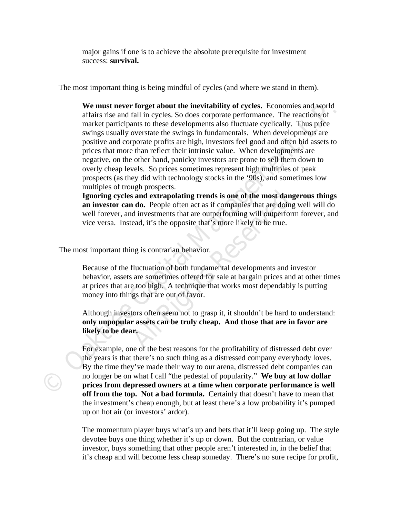major gains if one is to achieve the absolute prerequisite for investment success: **survival.** 

The most important thing is being mindful of cycles (and where we stand in them).

We must never forget about the inevitability of cycles.<br>
and we must never for the intervience and world<br>
market participans to uhase developments also fluctuate cyclically. Thus price<br>
analysis usually onests to the swing **We must never forget about the inevitability of cycles.** Economies and world affairs rise and fall in cycles. So does corporate performance. The reactions of market participants to these developments also fluctuate cyclically. Thus price swings usually overstate the swings in fundamentals. When developments are positive and corporate profits are high, investors feel good and often bid assets to prices that more than reflect their intrinsic value. When developments are negative, on the other hand, panicky investors are prone to sell them down to overly cheap levels. So prices sometimes represent high multiples of peak prospects (as they did with technology stocks in the '90s), and sometimes low multiples of trough prospects.

**All All Reserved Start Controls Start All All Reserved** Start are doing investments that are outperforming will outperformed, it's the opposite that's more likely to be true.<br>
Reserved, it's the opposite that's more likel **Ignoring cycles and extrapolating trends is one of the most dangerous things an investor can do.** People often act as if companies that are doing well will do well forever, and investments that are outperforming will outperform forever, and vice versa. Instead, it's the opposite that's more likely to be true.

The most important thing is contrarian behavior.

Because of the fluctuation of both fundamental developments and investor behavior, assets are sometimes offered for sale at bargain prices and at other times at prices that are too high. A technique that works most dependably is putting money into things that are out of favor.

Although investors often seem not to grasp it, it shouldn't be hard to understand: **only unpopular assets can be truly cheap. And those that are in favor are likely to be dear.** 

For example, one of the best reasons for the profitability of distressed debt over the years is that there's no such thing as a distressed company everybody loves. By the time they've made their way to our arena, distressed debt companies can no longer be on what I call "the pedestal of popularity." **We buy at low dollar prices from depressed owners at a time when corporate performance is well off from the top. Not a bad formula.** Certainly that doesn't have to mean that the investment's cheap enough, but at least there's a low probability it's pumped up on hot air (or investors' ardor).

The momentum player buys what's up and bets that it'll keep going up. The style devotee buys one thing whether it's up or down. But the contrarian, or value investor, buys something that other people aren't interested in, in the belief that it's cheap and will become less cheap someday. There's no sure recipe for profit,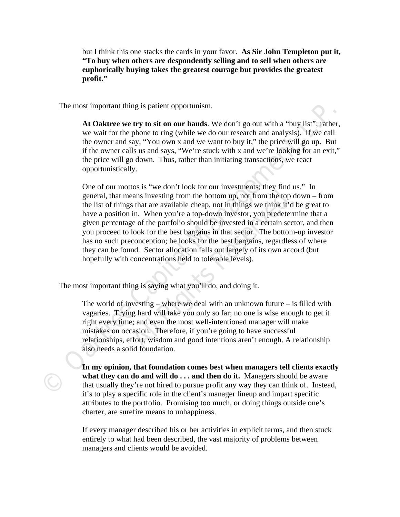but I think this one stacks the cards in your favor. **As Sir John Templeton put it, "To buy when others are despondently selling and to sell when others are euphorically buying takes the greatest courage but provides the greatest profit."** 

The most important thing is patient opportunism.

**At Oaktree we try to sit on our hands**. We don't go out with a "buy list"; rather, we wait for the phone to ring (while we do our research and analysis). If we call the owner and say, "You own x and we want to buy it," the price will go up. But if the owner calls us and says, "We're stuck with x and we're looking for an exit," the price will go down. Thus, rather than initiating transactions, we react opportunistically.

The most important thing is patient opportunism.<br> **At Oaktree we try to sit on our hands**. We don't go out with a "buy list", rather,<br>
we want for the phone to ring (while we do our research and analysis). If we call<br>
the eans investing from the bottom up, not from the top of<br>s that are available cheap, not in things we think it'd<br>in. When you're a top-down investor, you predeterr<br>ge of the portfolio should be invested in a certain sect<br>loo One of our mottos is "we don't look for our investments; they find us." In general, that means investing from the bottom up, not from the top down – from the list of things that are available cheap, not in things we think it'd be great to have a position in. When you're a top-down investor, you predetermine that a given percentage of the portfolio should be invested in a certain sector, and then you proceed to look for the best bargains in that sector. The bottom-up investor has no such preconception; he looks for the best bargains, regardless of where they can be found. Sector allocation falls out largely of its own accord (but hopefully with concentrations held to tolerable levels).

The most important thing is saying what you'll do, and doing it.

The world of investing – where we deal with an unknown future – is filled with vagaries. Trying hard will take you only so far; no one is wise enough to get it right every time; and even the most well-intentioned manager will make mistakes on occasion. Therefore, if you're going to have successful relationships, effort, wisdom and good intentions aren't enough. A relationship also needs a solid foundation.

**In my opinion, that foundation comes best when managers tell clients exactly what they can do and will do . . . and then do it.** Managers should be aware that usually they're not hired to pursue profit any way they can think of. Instead, it's to play a specific role in the client's manager lineup and impart specific attributes to the portfolio. Promising too much, or doing things outside one's charter, are surefire means to unhappiness.

If every manager described his or her activities in explicit terms, and then stuck entirely to what had been described, the vast majority of problems between managers and clients would be avoided.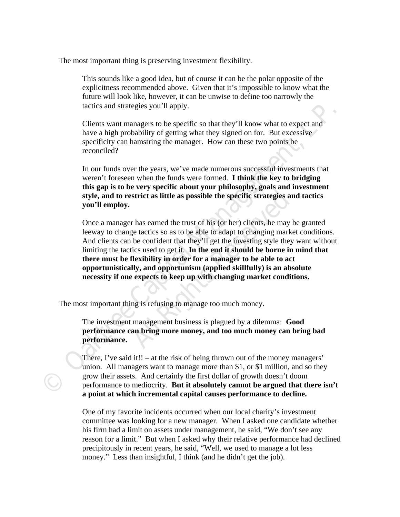The most important thing is preserving investment flexibility.

This sounds like a good idea, but of course it can be the polar opposite of the explicitness recommended above. Given that it's impossible to know what the future will look like, however, it can be unwise to define too narrowly the tactics and strategies you'll apply.

Clients want managers to be specific so that they'll know what to expect and have a high probability of getting what they signed on for. But excessive specificity can hamstring the manager. How can these two points be reconciled?

In our funds over the years, we've made numerous successful investments that weren't foreseen when the funds were formed. **I think the key to bridging this gap is to be very specific about your philosophy, goals and investment style, and to restrict as little as possible the specific strategies and tactics you'll employ.** 

tactics and strategies you'll apply.<br>Clients want managers to be specifie so that they'll know what to expect and<br>have a high probability of getting what they signed on for. But excessive<br>specificity can hanstring the mana **Example 12 All All Responsible the specific strategies and the specific strategies and the specific strategies and the specific strategies and the specific strategies on as to be able to adapt to changing marke be confi** Once a manager has earned the trust of his (or her) clients, he may be granted leeway to change tactics so as to be able to adapt to changing market conditions. And clients can be confident that they'll get the investing style they want without limiting the tactics used to get it. **In the end it should be borne in mind that there must be flexibility in order for a manager to be able to act opportunistically, and opportunism (applied skillfully) is an absolute necessity if one expects to keep up with changing market conditions.** 

The most important thing is refusing to manage too much money.

The investment management business is plagued by a dilemma: **Good performance can bring more money, and too much money can bring bad performance.** 

There, I've said it!! – at the risk of being thrown out of the money managers' union. All managers want to manage more than \$1, or \$1 million, and so they grow their assets. And certainly the first dollar of growth doesn't doom performance to mediocrity. **But it absolutely cannot be argued that there isn't a point at which incremental capital causes performance to decline.** 

One of my favorite incidents occurred when our local charity's investment committee was looking for a new manager. When I asked one candidate whether his firm had a limit on assets under management, he said, "We don't see any reason for a limit." But when I asked why their relative performance had declined precipitously in recent years, he said, "Well, we used to manage a lot less money." Less than insightful, I think (and he didn't get the job).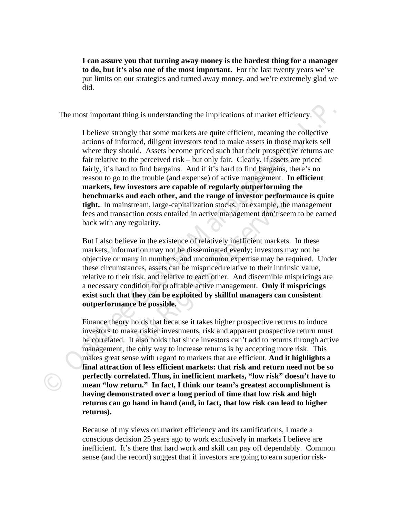**I can assure you that turning away money is the hardest thing for a manager to do, but it's also one of the most important.** For the last twenty years we've put limits on our strategies and turned away money, and we're extremely glad we did.

The most important thing is understanding the implications of market efficiency.

The most important thing is understanding the implications of market efficiency.<br> **Chalge the Capital Management we set that the controller the capital Management (Figure 10 minds a set to make a set to where they should.** I believe strongly that some markets are quite efficient, meaning the collective actions of informed, diligent investors tend to make assets in those markets sell where they should. Assets become priced such that their prospective returns are fair relative to the perceived risk – but only fair. Clearly, if assets are priced fairly, it's hard to find bargains. And if it's hard to find bargains, there's no reason to go to the trouble (and expense) of active management. **In efficient markets, few investors are capable of regularly outperforming the benchmarks and each other, and the range of investor performance is quite tight.** In mainstream, large-capitalization stocks, for example, the management fees and transaction costs entailed in active management don't seem to be earned back with any regularity.

**nd each other, and the range of investor performa**<br>tream, large-capitalization stocks, for example, the n<br>etion costs entailed in active management don't seem<br>egularity.<br>We in the existence of relatively inefficient marke But I also believe in the existence of relatively inefficient markets. In these markets, information may not be disseminated evenly; investors may not be objective or many in numbers; and uncommon expertise may be required. Under these circumstances, assets can be mispriced relative to their intrinsic value, relative to their risk, and relative to each other. And discernible mispricings are a necessary condition for profitable active management. **Only if mispricings exist such that they can be exploited by skillful managers can consistent outperformance be possible.**

Finance theory holds that because it takes higher prospective returns to induce investors to make riskier investments, risk and apparent prospective return must be correlated. It also holds that since investors can't add to returns through active management, the only way to increase returns is by accepting more risk. This makes great sense with regard to markets that are efficient. **And it highlights a final attraction of less efficient markets: that risk and return need not be so perfectly correlated. Thus, in inefficient markets, "low risk" doesn't have to mean "low return." In fact, I think our team's greatest accomplishment is having demonstrated over a long period of time that low risk and high returns can go hand in hand (and, in fact, that low risk can lead to higher returns).** 

Because of my views on market efficiency and its ramifications, I made a conscious decision 25 years ago to work exclusively in markets I believe are inefficient. It's there that hard work and skill can pay off dependably. Common sense (and the record) suggest that if investors are going to earn superior risk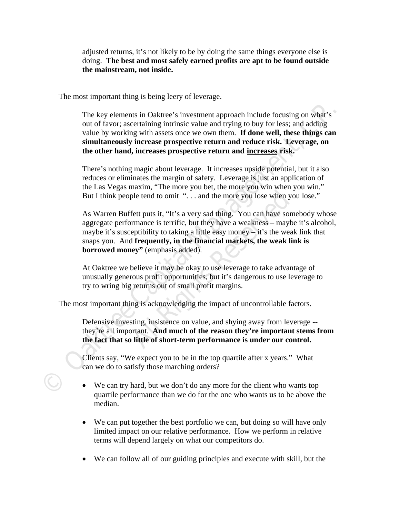adjusted returns, it's not likely to be by doing the same things everyone else is doing. **The best and most safely earned profits are apt to be found outside the mainstream, not inside.** 

The most important thing is being leery of leverage.

The key elements in Oaktree 's investment approach include focusing on what's<br>out of favor, ascertaining intrinsic value and trying to buy for these that<br>out of the value by working with assets once we own then. If done we The key elements in Oaktree's investment approach include focusing on what's out of favor; ascertaining intrinsic value and trying to buy for less; and adding value by working with assets once we own them. **If done well, these things can simultaneously increase prospective return and reduce risk. Leverage, on the other hand, increases prospective return and increases risk.** 

There's nothing magic about leverage. It increases upside potential, but it also reduces or eliminates the margin of safety. Leverage is just an application of the Las Vegas maxim, "The more you bet, the more you win when you win." But I think people tend to omit "... and the more you lose when you lose."

ple tend to omit "... and the more you lose when youther that the more you lose when youther that the servement of the servement of the server and the end of the server of the server of the served of **Frequently**, in the As Warren Buffett puts it, "It's a very sad thing. You can have somebody whose aggregate performance is terrific, but they have a weakness – maybe it's alcohol, maybe it's susceptibility to taking a little easy money – it's the weak link that snaps you. And **frequently, in the financial markets, the weak link is borrowed money"** (emphasis added).

At Oaktree we believe it may be okay to use leverage to take advantage of unusually generous profit opportunities, but it's dangerous to use leverage to try to wring big returns out of small profit margins.

The most important thing is acknowledging the impact of uncontrollable factors.

Defensive investing, insistence on value, and shying away from leverage - they're all important. **And much of the reason they're important stems from the fact that so little of short-term performance is under our control.** 

Clients say, "We expect you to be in the top quartile after x years." What can we do to satisfy those marching orders?

- We can try hard, but we don't do any more for the client who wants top quartile performance than we do for the one who wants us to be above the median.
- We can put together the best portfolio we can, but doing so will have only limited impact on our relative performance. How we perform in relative terms will depend largely on what our competitors do.
- We can follow all of our guiding principles and execute with skill, but the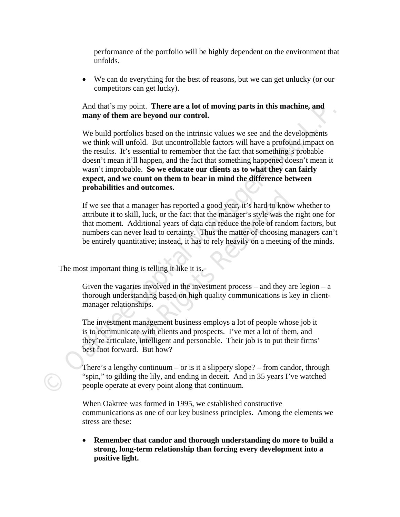performance of the portfolio will be highly dependent on the environment that unfolds.

 We can do everything for the best of reasons, but we can get unlucky (or our competitors can get lucky).

## And that's my point. **There are a lot of moving parts in this machine, and many of them are beyond our control.**

And that's my point. **There are a lot of moving parts in this machine, and** many of them are the ord on the intrinsic values we see and the developments we think will unfold. But uncontrollable factors will have a profoun We build portfolios based on the intrinsic values we see and the developments we think will unfold. But uncontrollable factors will have a profound impact on the results. It's essential to remember that the fact that something's probable doesn't mean it'll happen, and the fact that something happened doesn't mean it wasn't improbable. **So we educate our clients as to what they can fairly expect, and we count on them to bear in mind the difference between probabilities and outcomes.** 

manager has reported a good year, it's hard to know<br>ill, luck, or the fact that the manager's style was the<br>Additional years of data can reduce the role of randor<br>ver lead to certainty. Thus the matter of choosing m<br>titati If we see that a manager has reported a good year, it's hard to know whether to attribute it to skill, luck, or the fact that the manager's style was the right one for that moment. Additional years of data can reduce the role of random factors, but numbers can never lead to certainty. Thus the matter of choosing managers can't be entirely quantitative; instead, it has to rely heavily on a meeting of the minds.

The most important thing is telling it like it is.

Given the vagaries involved in the investment process – and they are legion –  $a$ thorough understanding based on high quality communications is key in clientmanager relationships.

The investment management business employs a lot of people whose job it is to communicate with clients and prospects. I've met a lot of them, and they're articulate, intelligent and personable. Their job is to put their firms' best foot forward. But how?

There's a lengthy continuum – or is it a slippery slope? – from candor, through "spin," to gilding the lily, and ending in deceit. And in 35 years I've watched people operate at every point along that continuum.

When Oaktree was formed in 1995, we established constructive communications as one of our key business principles. Among the elements we stress are these:

 **Remember that candor and thorough understanding do more to build a strong, long-term relationship than forcing every development into a positive light.**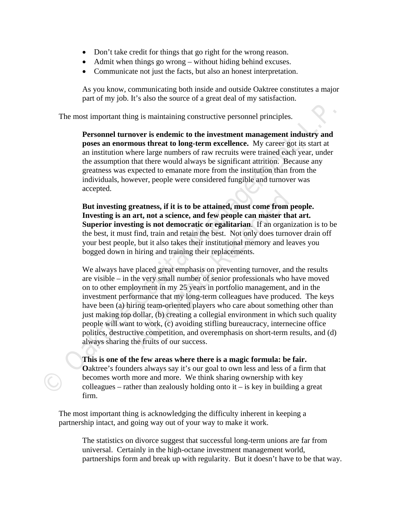- Don't take credit for things that go right for the wrong reason.
- Admit when things go wrong without hiding behind excuses.
- Communicate not just the facts, but also an honest interpretation.

As you know, communicating both inside and outside Oaktree constitutes a major part of my job. It's also the source of a great deal of my satisfaction.

The most important thing is maintaining constructive personnel principles.

**Personnel turnover is endemic to the investment management industry and poses an enormous threat to long-term excellence.** My career got its start at an institution where large numbers of raw recruits were trained each year, under the assumption that there would always be significant attrition. Because any greatness was expected to emanate more from the institution than from the individuals, however, people were considered fungible and turnover was accepted.

**But investing greatness, if it is to be attained, must come from people. Investing is an art, not a science, and few people can master that art. Superior investing is not democratic or egalitarian**. If an organization is to be the best, it must find, train and retain the best. Not only does turnover drain off your best people, but it also takes their institutional memory and leaves you bogged down in hiring and training their replacements.

The most important thing is maintaining constructive personnel principles.<br> **Personnel turnover is endemic to the investment management industry and**<br>
poses an enormons threat to long-term excellence. My career got its sta **Example 15 The Solution Synce Strained, must come from p art, not a science, and few people can master thating is not democratic or egalitarian.** If an organize find, train and retain the best. Not only does turnove, but We always have placed great emphasis on preventing turnover, and the results are visible – in the very small number of senior professionals who have moved on to other employment in my 25 years in portfolio management, and in the investment performance that my long-term colleagues have produced. The keys have been (a) hiring team-oriented players who care about something other than just making top dollar, (b) creating a collegial environment in which such quality people will want to work, (c) avoiding stifling bureaucracy, internecine office politics, destructive competition, and overemphasis on short-term results, and (d) always sharing the fruits of our success.

**This is one of the few areas where there is a magic formula: be fair. O**aktree's founders always say it's our goal to own less and less of a firm that becomes worth more and more. We think sharing ownership with key colleagues – rather than zealously holding onto  $i - i$  is key in building a great firm.

The most important thing is acknowledging the difficulty inherent in keeping a partnership intact, and going way out of your way to make it work.

The statistics on divorce suggest that successful long-term unions are far from universal. Certainly in the high-octane investment management world, partnerships form and break up with regularity. But it doesn't have to be that way.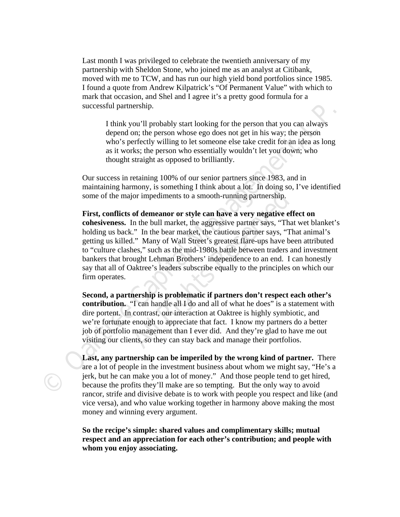Last month I was privileged to celebrate the twentieth anniversary of my partnership with Sheldon Stone, who joined me as an analyst at Citibank, moved with me to TCW, and has run our high yield bond portfolios since 1985. I found a quote from Andrew Kilpatrick's "Of Permanent Value" with which to mark that occasion, and Shel and I agree it's a pretty good formula for a successful partnership.

I think you'll probably start looking for the person that you can always depend on; the person whose ego does not get in his way; the person who's perfectly willing to let someone else take credit for an idea as long as it works; the person who essentially wouldn't let you down; who thought straight as opposed to brilliantly.

Our success in retaining 100% of our senior partners since 1983, and in maintaining harmony, is something I think about a lot. In doing so, I've identified some of the major impediments to a smooth-running partnership.

successful partnership.<br> **Comparison** 10, the person that you can always<br>
1 think you 'If probably start looking for the person that you can always<br>
depend on; the person whose ego does not get in his way; the person<br>
who' for impediments to a smooth-running partnership.<br> **Of demeanor or style can have a very negative eff**<br>
In the bull market, the aggressive partner says, "That." In the bear market, the cautious partner says, "That." Many of **First, conflicts of demeanor or style can have a very negative effect on cohesiveness.** In the bull market, the aggressive partner says, "That wet blanket's holding us back." In the bear market, the cautious partner says, "That animal's getting us killed." Many of Wall Street's greatest flare-ups have been attributed to "culture clashes," such as the mid-1980s battle between traders and investment bankers that brought Lehman Brothers' independence to an end. I can honestly say that all of Oaktree's leaders subscribe equally to the principles on which our firm operates.

**Second, a partnership is problematic if partners don't respect each other's contribution.** "I can handle all I do and all of what he does" is a statement with dire portent. In contrast, our interaction at Oaktree is highly symbiotic, and we're fortunate enough to appreciate that fact. I know my partners do a better job of portfolio management than I ever did. And they're glad to have me out visiting our clients, so they can stay back and manage their portfolios.

**Last, any partnership can be imperiled by the wrong kind of partner.** There are a lot of people in the investment business about whom we might say, "He's a jerk, but he can make you a lot of money." And those people tend to get hired, because the profits they'll make are so tempting. But the only way to avoid rancor, strife and divisive debate is to work with people you respect and like (and vice versa), and who value working together in harmony above making the most money and winning every argument.

**So the recipe's simple: shared values and complimentary skills; mutual respect and an appreciation for each other's contribution; and people with whom you enjoy associating.**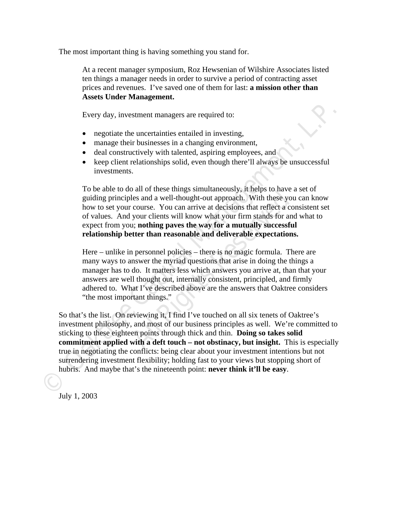The most important thing is having something you stand for.

At a recent manager symposium, Roz Hewsenian of Wilshire Associates listed ten things a manager needs in order to survive a period of contracting asset prices and revenues. I've saved one of them for last: **a mission other than Assets Under Management.** 

Every day, investment managers are required to:

- negotiate the uncertainties entailed in investing,
- manage their businesses in a changing environment,
- deal constructively with talented, aspiring employees, and
- keep client relationships solid, even though there'll always be unsuccessful investments.

To be able to do all of these things simultaneously, it helps to have a set of guiding principles and a well-thought-out approach. With these you can know how to set your course. You can arrive at decisions that reflect a consistent set of values. And your clients will know what your firm stands for and what to expect from you; **nothing paves the way for a mutually successful relationship better than reasonable and deliverable expectations.** 

For the model of the model of the product and the protocombinated and a well-thought-out approach. With these you course. You can arrive at decisions that reflect a co your clients will know what your firm stands for and a Here – unlike in personnel policies – there is no magic formula. There are many ways to answer the myriad questions that arise in doing the things a manager has to do. It matters less which answers you arrive at, than that your answers are well thought out, internally consistent, principled, and firmly adhered to. What I've described above are the answers that Oaktree considers "the most important things."

Every day, investment managers are required to:<br>
• negotiate the uncertainties entailed in investing,<br>
• manage their businesses in a changing environment,<br>
• deal constructively with talented, aspiring employees, and<br>
• k So that's the list. On reviewing it, I find I've touched on all six tenets of Oaktree's investment philosophy, and most of our business principles as well. We're committed to sticking to these eighteen points through thick and thin. **Doing so takes solid commitment applied with a deft touch – not obstinacy, but insight.** This is especially true in negotiating the conflicts: being clear about your investment intentions but not surrendering investment flexibility; holding fast to your views but stopping short of hubris. And maybe that's the nineteenth point: **never think it'll be easy**.

July 1, 2003